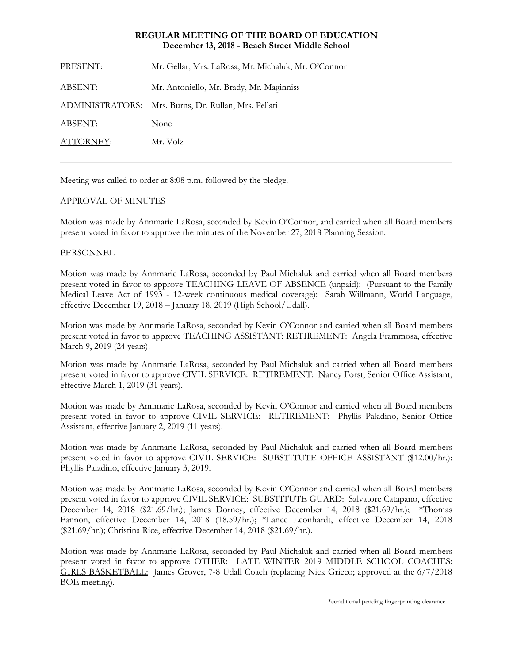### **REGULAR MEETING OF THE BOARD OF EDUCATION December 13, 2018 - Beach Street Middle School**

| PRESENT:               | Mr. Gellar, Mrs. LaRosa, Mr. Michaluk, Mr. O'Connor |
|------------------------|-----------------------------------------------------|
| <b>ABSENT:</b>         | Mr. Antoniello, Mr. Brady, Mr. Maginniss            |
| <u>ADMINISTRATORS:</u> | Mrs. Burns, Dr. Rullan, Mrs. Pellati                |
| ABSENT:                | None                                                |
| ATTORNEY:              | Mr. Volz                                            |
|                        |                                                     |

Meeting was called to order at 8:08 p.m. followed by the pledge.

# APPROVAL OF MINUTES

Motion was made by Annmarie LaRosa, seconded by Kevin O'Connor, and carried when all Board members present voted in favor to approve the minutes of the November 27, 2018 Planning Session.

#### **PERSONNEL**

Motion was made by Annmarie LaRosa, seconded by Paul Michaluk and carried when all Board members present voted in favor to approve TEACHING LEAVE OF ABSENCE (unpaid): (Pursuant to the Family Medical Leave Act of 1993 - 12-week continuous medical coverage): Sarah Willmann, World Language, effective December 19, 2018 – January 18, 2019 (High School/Udall).

Motion was made by Annmarie LaRosa, seconded by Kevin O'Connor and carried when all Board members present voted in favor to approve TEACHING ASSISTANT: RETIREMENT: Angela Frammosa, effective March 9, 2019 (24 years).

Motion was made by Annmarie LaRosa, seconded by Paul Michaluk and carried when all Board members present voted in favor to approve CIVIL SERVICE: RETIREMENT: Nancy Forst, Senior Office Assistant, effective March 1, 2019 (31 years).

Motion was made by Annmarie LaRosa, seconded by Kevin O'Connor and carried when all Board members present voted in favor to approve CIVIL SERVICE: RETIREMENT: Phyllis Paladino, Senior Office Assistant, effective January 2, 2019 (11 years).

Motion was made by Annmarie LaRosa, seconded by Paul Michaluk and carried when all Board members present voted in favor to approve CIVIL SERVICE: SUBSTITUTE OFFICE ASSISTANT (\$12.00/hr.): Phyllis Paladino, effective January 3, 2019.

Motion was made by Annmarie LaRosa, seconded by Kevin O'Connor and carried when all Board members present voted in favor to approve CIVIL SERVICE: SUBSTITUTE GUARD: Salvatore Catapano, effective December 14, 2018 (\$21.69/hr.); James Dorney, effective December 14, 2018 (\$21.69/hr.); \*Thomas Fannon, effective December 14, 2018 (18.59/hr.); \*Lance Leonhardt, effective December 14, 2018 (\$21.69/hr.); Christina Rice, effective December 14, 2018 (\$21.69/hr.).

Motion was made by Annmarie LaRosa, seconded by Paul Michaluk and carried when all Board members present voted in favor to approve OTHER: LATE WINTER 2019 MIDDLE SCHOOL COACHES: GIRLS BASKETBALL: James Grover, 7-8 Udall Coach (replacing Nick Grieco; approved at the 6/7/2018 BOE meeting).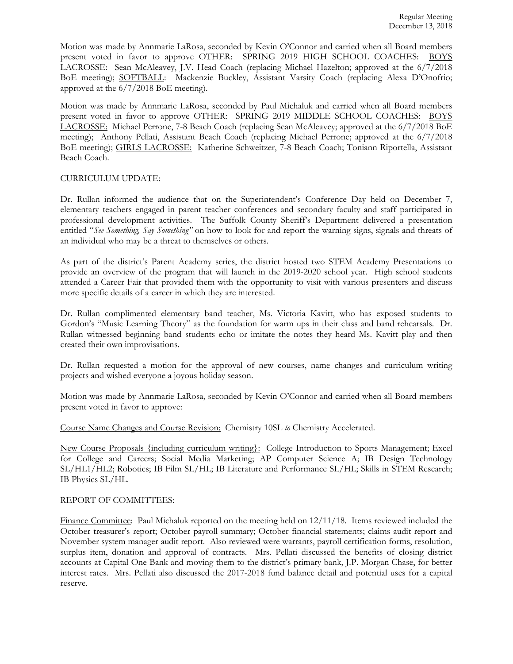Motion was made by Annmarie LaRosa, seconded by Kevin O'Connor and carried when all Board members present voted in favor to approve OTHER: SPRING 2019 HIGH SCHOOL COACHES: BOYS LACROSSE: Sean McAleavey, J.V. Head Coach (replacing Michael Hazelton; approved at the 6/7/2018 BoE meeting); SOFTBALL: Mackenzie Buckley, Assistant Varsity Coach (replacing Alexa D'Onofrio; approved at the 6/7/2018 BoE meeting).

Motion was made by Annmarie LaRosa, seconded by Paul Michaluk and carried when all Board members present voted in favor to approve OTHER: SPRING 2019 MIDDLE SCHOOL COACHES: BOYS LACROSSE: Michael Perrone, 7-8 Beach Coach (replacing Sean McAleavey; approved at the 6/7/2018 BoE meeting); Anthony Pellati, Assistant Beach Coach (replacing Michael Perrone; approved at the 6/7/2018 BoE meeting); GIRLS LACROSSE: Katherine Schweitzer, 7-8 Beach Coach; Toniann Riportella, Assistant Beach Coach.

#### CURRICULUM UPDATE:

Dr. Rullan informed the audience that on the Superintendent's Conference Day held on December 7, elementary teachers engaged in parent teacher conferences and secondary faculty and staff participated in professional development activities. The Suffolk County Sheriff's Department delivered a presentation entitled "*See Something, Say Something"* on how to look for and report the warning signs, signals and threats of an individual who may be a threat to themselves or others.

As part of the district's Parent Academy series, the district hosted two STEM Academy Presentations to provide an overview of the program that will launch in the 2019-2020 school year. High school students attended a Career Fair that provided them with the opportunity to visit with various presenters and discuss more specific details of a career in which they are interested.

Dr. Rullan complimented elementary band teacher, Ms. Victoria Kavitt, who has exposed students to Gordon's "Music Learning Theory" as the foundation for warm ups in their class and band rehearsals. Dr. Rullan witnessed beginning band students echo or imitate the notes they heard Ms. Kavitt play and then created their own improvisations.

Dr. Rullan requested a motion for the approval of new courses, name changes and curriculum writing projects and wished everyone a joyous holiday season.

Motion was made by Annmarie LaRosa, seconded by Kevin O'Connor and carried when all Board members present voted in favor to approve:

Course Name Changes and Course Revision: Chemistry 10SL *to* Chemistry Accelerated.

New Course Proposals {including curriculum writing}: College Introduction to Sports Management; Excel for College and Careers; Social Media Marketing; AP Computer Science A; IB Design Technology SL/HL1/HL2; Robotics; IB Film SL/HL; IB Literature and Performance SL/HL; Skills in STEM Research; IB Physics SL/HL.

#### REPORT OF COMMITTEES:

Finance Committee: Paul Michaluk reported on the meeting held on 12/11/18. Items reviewed included the October treasurer's report; October payroll summary; October financial statements; claims audit report and November system manager audit report. Also reviewed were warrants, payroll certification forms, resolution, surplus item, donation and approval of contracts. Mrs. Pellati discussed the benefits of closing district accounts at Capital One Bank and moving them to the district's primary bank, J.P. Morgan Chase, for better interest rates. Mrs. Pellati also discussed the 2017-2018 fund balance detail and potential uses for a capital reserve.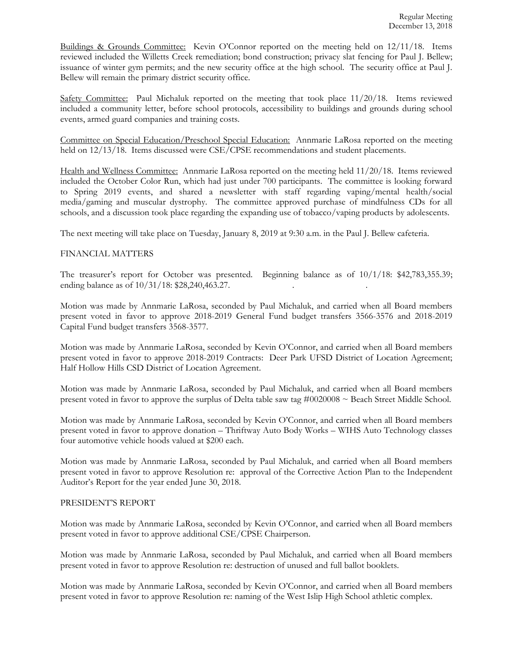Buildings & Grounds Committee: Kevin O'Connor reported on the meeting held on 12/11/18. Items reviewed included the Willetts Creek remediation; bond construction; privacy slat fencing for Paul J. Bellew; issuance of winter gym permits; and the new security office at the high school. The security office at Paul J. Bellew will remain the primary district security office.

Safety Committee: Paul Michaluk reported on the meeting that took place 11/20/18. Items reviewed included a community letter, before school protocols, accessibility to buildings and grounds during school events, armed guard companies and training costs.

Committee on Special Education/Preschool Special Education: Annmarie LaRosa reported on the meeting held on  $12/13/18$ . Items discussed were CSE/CPSE recommendations and student placements.

Health and Wellness Committee: Annmarie LaRosa reported on the meeting held 11/20/18. Items reviewed included the October Color Run, which had just under 700 participants. The committee is looking forward to Spring 2019 events, and shared a newsletter with staff regarding vaping/mental health/social media/gaming and muscular dystrophy. The committee approved purchase of mindfulness CDs for all schools, and a discussion took place regarding the expanding use of tobacco/vaping products by adolescents.

The next meeting will take place on Tuesday, January 8, 2019 at 9:30 a.m. in the Paul J. Bellew cafeteria.

# FINANCIAL MATTERS

The treasurer's report for October was presented. Beginning balance as of 10/1/18: \$42,783,355.39; ending balance as of  $10/31/18$ : \$28,240,463.27.

Motion was made by Annmarie LaRosa, seconded by Paul Michaluk, and carried when all Board members present voted in favor to approve 2018-2019 General Fund budget transfers 3566-3576 and 2018-2019 Capital Fund budget transfers 3568-3577.

Motion was made by Annmarie LaRosa, seconded by Kevin O'Connor, and carried when all Board members present voted in favor to approve 2018-2019 Contracts: Deer Park UFSD District of Location Agreement; Half Hollow Hills CSD District of Location Agreement.

Motion was made by Annmarie LaRosa, seconded by Paul Michaluk, and carried when all Board members present voted in favor to approve the surplus of Delta table saw tag  $\#0020008 \sim$  Beach Street Middle School.

Motion was made by Annmarie LaRosa, seconded by Kevin O'Connor, and carried when all Board members present voted in favor to approve donation – Thriftway Auto Body Works – WIHS Auto Technology classes four automotive vehicle hoods valued at \$200 each.

Motion was made by Annmarie LaRosa, seconded by Paul Michaluk, and carried when all Board members present voted in favor to approve Resolution re: approval of the Corrective Action Plan to the Independent Auditor's Report for the year ended June 30, 2018.

#### PRESIDENT'S REPORT

Motion was made by Annmarie LaRosa, seconded by Kevin O'Connor, and carried when all Board members present voted in favor to approve additional CSE/CPSE Chairperson.

Motion was made by Annmarie LaRosa, seconded by Paul Michaluk, and carried when all Board members present voted in favor to approve Resolution re: destruction of unused and full ballot booklets.

Motion was made by Annmarie LaRosa, seconded by Kevin O'Connor, and carried when all Board members present voted in favor to approve Resolution re: naming of the West Islip High School athletic complex.